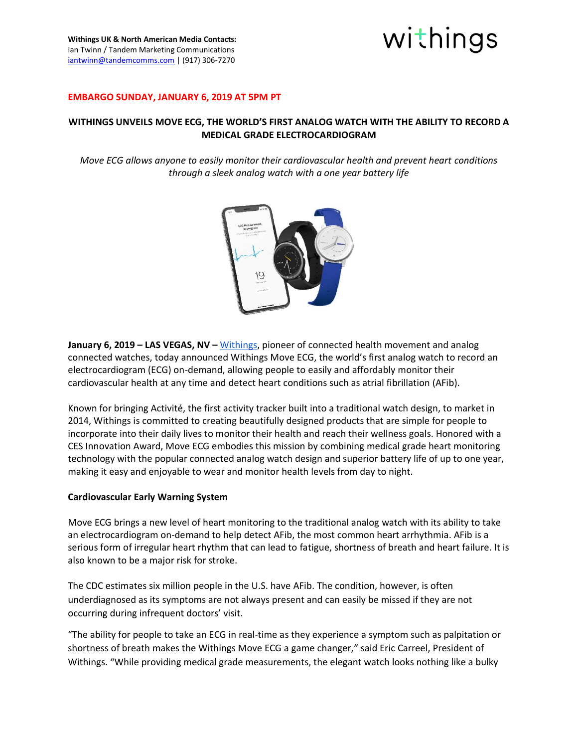

#### **EMBARGO SUNDAY, JANUARY 6, 2019 AT 5PM PT**

## **WITHINGS UNVEILS MOVE ECG, THE WORLD'S FIRST ANALOG WATCH WITH THE ABILITY TO RECORD A MEDICAL GRADE ELECTROCARDIOGRAM**

*Move ECG allows anyone to easily monitor their cardiovascular health and prevent heart conditions through a sleek analog watch with a one year battery life*



**January 6, 2019 – LAS VEGAS, NV –** [Withings,](http://www.withings.com/) pioneer of connected health movement and analog connected watches, today announced Withings Move ECG, the world's first analog watch to record an electrocardiogram (ECG) on-demand, allowing people to easily and affordably monitor their cardiovascular health at any time and detect heart conditions such as atrial fibrillation (AFib).

Known for bringing Activité, the first activity tracker built into a traditional watch design, to market in 2014, Withings is committed to creating beautifully designed products that are simple for people to incorporate into their daily lives to monitor their health and reach their wellness goals. Honored with a CES Innovation Award, Move ECG embodies this mission by combining medical grade heart monitoring technology with the popular connected analog watch design and superior battery life of up to one year, making it easy and enjoyable to wear and monitor health levels from day to night.

#### **Cardiovascular Early Warning System**

Move ECG brings a new level of heart monitoring to the traditional analog watch with its ability to take an electrocardiogram on-demand to help detect AFib, the most common heart arrhythmia. AFib is a serious form of irregular heart rhythm that can lead to fatigue, shortness of breath and heart failure. It is also known to be a major risk for stroke.

The CDC estimates six million people in the U.S. have AFib. The condition, however, is often underdiagnosed as its symptoms are not always present and can easily be missed if they are not occurring during infrequent doctors' visit.

"The ability for people to take an ECG in real-time as they experience a symptom such as palpitation or shortness of breath makes the Withings Move ECG a game changer," said Eric Carreel, President of Withings. "While providing medical grade measurements, the elegant watch looks nothing like a bulky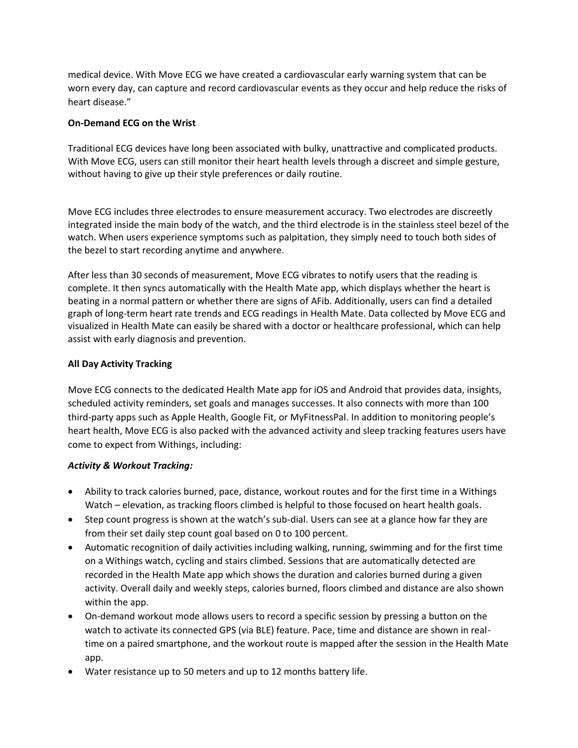medical device. With Move ECG we have created a cardiovascular early warning system that can be worn every day, can capture and record cardiovascular events as they occur and help reduce the risks of heart disease."

## **On-Demand ECG on the Wrist**

Traditional ECG devices have long been associated with bulky, unattractive and complicated products. With Move ECG, users can still monitor their heart health levels through a discreet and simple gesture, without having to give up their style preferences or daily routine.

Move ECG includes three electrodes to ensure measurement accuracy. Two electrodes are discreetly integrated inside the main body of the watch, and the third electrode is in the stainless steel bezel of the watch. When users experience symptoms such as palpitation, they simply need to touch both sides of the bezel to start recording anytime and anywhere.

After less than 30 seconds of measurement, Move ECG vibrates to notify users that the reading is complete. It then syncs automatically with the Health Mate app, which displays whether the heart is beating in a normal pattern or whether there are signs of AFib. Additionally, users can find a detailed graph of long-term heart rate trends and ECG readings in Health Mate. Data collected by Move ECG and visualized in Health Mate can easily be shared with a doctor or healthcare professional, which can help assist with early diagnosis and prevention.

## **All Day Activity Tracking**

Move ECG connects to the dedicated Health Mate app for iOS and Android that provides data, insights, scheduled activity reminders, set goals and manages successes. It also connects with more than 100 third-party apps such as Apple Health, Google Fit, or MyFitnessPal. In addition to monitoring people's heart health, Move ECG is also packed with the advanced activity and sleep tracking features users have come to expect from Withings, including:

# *Activity & Workout Tracking:*

- Ability to track calories burned, pace, distance, workout routes and for the first time in a Withings Watch – elevation, as tracking floors climbed is helpful to those focused on heart health goals.
- Step count progress is shown at the watch's sub-dial. Users can see at a glance how far they are from their set daily step count goal based on 0 to 100 percent.
- Automatic recognition of daily activities including walking, running, swimming and for the first time on a Withings watch, cycling and stairs climbed. Sessions that are automatically detected are recorded in the Health Mate app which shows the duration and calories burned during a given activity. Overall daily and weekly steps, calories burned, floors climbed and distance are also shown within the app.
- On-demand workout mode allows users to record a specific session by pressing a button on the watch to activate its connected GPS (via BLE) feature. Pace, time and distance are shown in realtime on a paired smartphone, and the workout route is mapped after the session in the Health Mate app.
- Water resistance up to 50 meters and up to 12 months battery life.